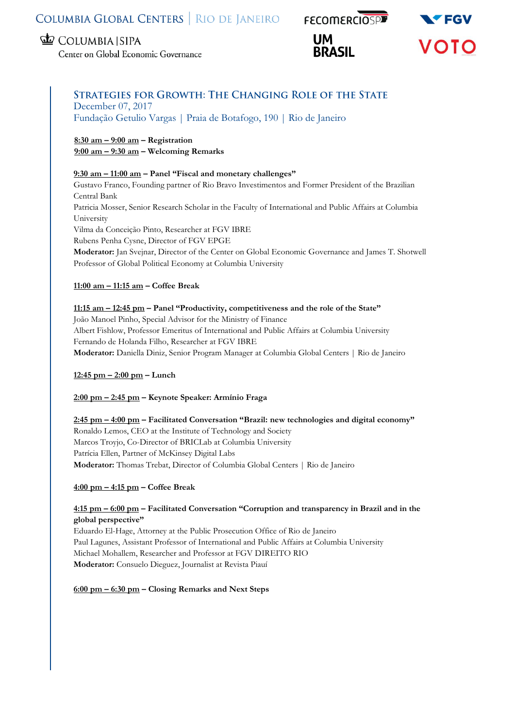# COLUMBIA GLOBAL CENTERS | RIO DE JANEIRO FECOMERCIOSPE

# **ED** COLUMBIA SIPA

Center on Global Economic Governance

# **UM**





# **STRATEGIES FOR GROWTH: THE CHANGING ROLE OF THE STATE** December 07, 2017

Fundação Getulio Vargas | Praia de Botafogo, 190 | Rio de Janeiro

## **8:30 am – 9:00 am – Registration 9:00 am – 9:30 am – Welcoming Remarks**

## **9:30 am – 11:00 am – Panel "Fiscal and monetary challenges"**

Gustavo Franco, Founding partner of Rio Bravo Investimentos and Former President of the Brazilian Central Bank Patricia Mosser, Senior Research Scholar in the Faculty of International and Public Affairs at Columbia University Vilma da Conceição Pinto, Researcher at FGV IBRE Rubens Penha Cysne, Director of FGV EPGE **Moderator:** Jan Svejnar, Director of the Center on Global Economic Governance and James T. Shotwell Professor of Global Political Economy at Columbia University

## **11:00 am – 11:15 am – Coffee Break**

# **11:15 am – 12:45 pm – Panel "Productivity, competitiveness and the role of the State"**

João Manoel Pinho, Special Advisor for the Ministry of Finance Albert Fishlow, Professor Emeritus of International and Public Affairs at Columbia University Fernando de Holanda Filho, Researcher at FGV IBRE **Moderator:** Daniella Diniz, Senior Program Manager at Columbia Global Centers | Rio de Janeiro

# **12:45 pm – 2:00 pm – Lunch**

## **2:00 pm – 2:45 pm – Keynote Speaker: Armínio Fraga**

**2:45 pm – 4:00 pm – Facilitated Conversation "Brazil: new technologies and digital economy"** Ronaldo Lemos, CEO at the Institute of Technology and Society Marcos Troyjo, Co-Director of BRICLab at Columbia University Patrícia Ellen, Partner of McKinsey Digital Labs **Moderator:** Thomas Trebat, Director of Columbia Global Centers | Rio de Janeiro

## **4:00 pm – 4:15 pm – Coffee Break**

## **4:15 pm – 6:00 pm – Facilitated Conversation "Corruption and transparency in Brazil and in the global perspective"**

Eduardo El-Hage, Attorney at the Public Prosecution Office of Rio de Janeiro Paul Lagunes, Assistant Professor of International and Public Affairs at Columbia University Michael Mohallem, Researcher and Professor at FGV DIREITO RIO **Moderator:** Consuelo Dieguez, Journalist at Revista Piauí

## **6:00 pm – 6:30 pm – Closing Remarks and Next Steps**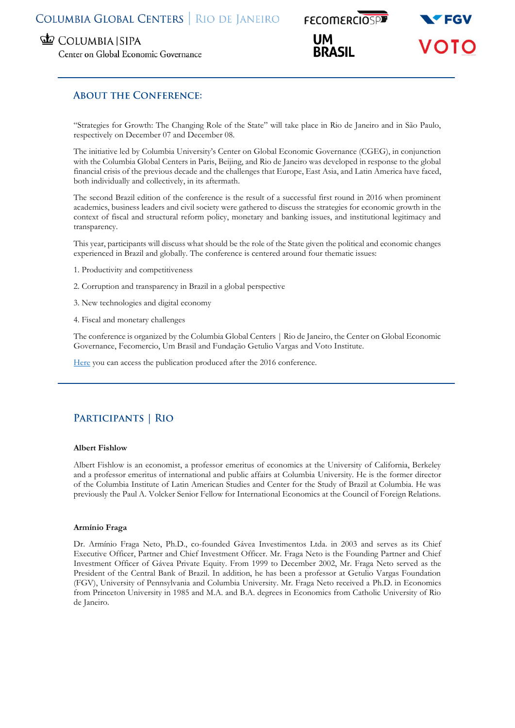# COLUMBIA GLOBAL CENTERS | RIO DE JANEIRO

COLUMBIA SIPA

Center on Global Economic Governance

**FECOMERCIOSPE UM** 



# **ABOUT THE CONFERENCE:**

"Strategies for Growth: The Changing Role of the State" will take place in Rio de Janeiro and in São Paulo, respectively on December 07 and December 08.

The initiative led by Columbia University's Center on Global Economic Governance (CGEG), in conjunction with the Columbia Global Centers in Paris, Beijing, and Rio de Janeiro was developed in response to the global financial crisis of the previous decade and the challenges that Europe, East Asia, and Latin America have faced, both individually and collectively, in its aftermath.

The second Brazil edition of the conference is the result of a successful first round in 2016 when prominent academics, business leaders and civil society were gathered to discuss the strategies for economic growth in the context of fiscal and structural reform policy, monetary and banking issues, and institutional legitimacy and transparency.

This year, participants will discuss what should be the role of the State given the political and economic changes experienced in Brazil and globally. The conference is centered around four thematic issues:

- 1. Productivity and competitiveness
- 2. Corruption and transparency in Brazil in a global perspective
- 3. New technologies and digital economy
- 4. Fiscal and monetary challenges

The conference is organized by the Columbia Global Centers | Rio de Janeiro, the Center on Global Economic Governance, Fecomercio, Um Brasil and Fundação Getulio Vargas and Voto Institute.

[Here](https://globalcenters.columbia.edu/sites/default/files/content/Rio/Media/Publications/Strategies%20for%20Growth%20-%20The%20Changing%20Role%20of%20the%20State_final.pdf) you can access the publication produced after the 2016 conference.

# PARTICIPANTS | RIO

#### **Albert Fishlow**

Albert Fishlow is an economist, a professor emeritus of economics at the University of California, Berkeley and a professor emeritus of international and public affairs at Columbia University. He is the former director of the Columbia Institute of Latin American Studies and Center for the Study of Brazil at Columbia. He was previously the Paul A. Volcker Senior Fellow for International Economics at the Council of Foreign Relations.

#### **Armínio Fraga**

Dr. Armínio Fraga Neto, Ph.D., co-founded Gávea Investimentos Ltda. in 2003 and serves as its Chief Executive Officer, Partner and Chief Investment Officer. Mr. Fraga Neto is the Founding Partner and Chief Investment Officer of Gávea Private Equity. From 1999 to December 2002, Mr. Fraga Neto served as the President of the Central Bank of Brazil. In addition, he has been a professor at Getulio Vargas Foundation (FGV), University of Pennsylvania and Columbia University. Mr. Fraga Neto received a Ph.D. in Economics from Princeton University in 1985 and M.A. and B.A. degrees in Economics from Catholic University of Rio de Janeiro.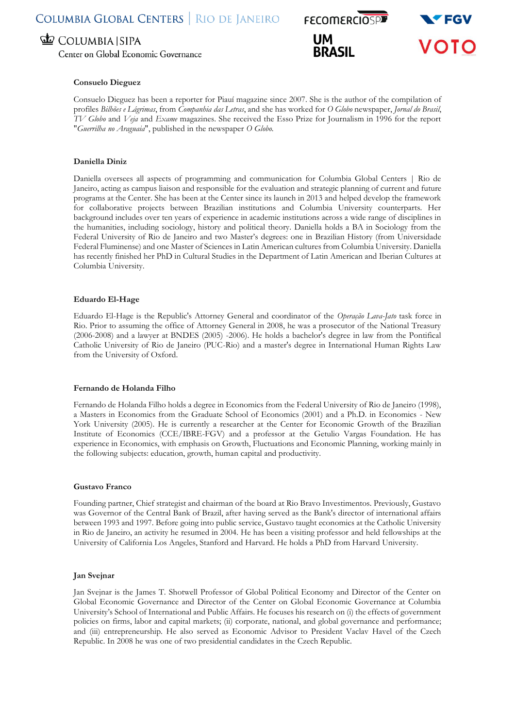# COLUMBIA SIPA

Center on Global Economic Governance

#### **Consuelo Dieguez**

Consuelo Dieguez has been a reporter for Piauí magazine since 2007. She is the author of the compilation of profiles *Bilhões e Lágrimas*, from *Companhia das Letras*, and she has worked for *O Globo* newspaper, *Jornal do Brasil*, *TV Globo* and *Veja* and *Exame* magazines. She received the Esso Prize for Journalism in 1996 for the report "*Guerrilha no Araguaia*", published in the newspaper *O Globo.*

#### **Daniella Diniz**

Daniella oversees all aspects of programming and communication for Columbia Global Centers | Rio de Janeiro, acting as campus liaison and responsible for the evaluation and strategic planning of current and future programs at the Center. She has been at the Center since its launch in 2013 and helped develop the framework for collaborative projects between Brazilian institutions and Columbia University counterparts. Her background includes over ten years of experience in academic institutions across a wide range of disciplines in the humanities, including sociology, history and political theory. Daniella holds a BA in Sociology from the Federal University of Rio de Janeiro and two Master's degrees: one in Brazilian History (from Universidade Federal Fluminense) and one Master of Sciences in Latin American cultures from Columbia University. Daniella has recently finished her PhD in Cultural Studies in the Department of Latin American and Iberian Cultures at Columbia University.

#### **Eduardo El-Hage**

Eduardo El-Hage is the Republic's Attorney General and coordinator of the *Operação Lava-Jato* task force in Rio. Prior to assuming the office of Attorney General in 2008, he was a prosecutor of the National Treasury (2006-2008) and a lawyer at BNDES (2005) -2006). He holds a bachelor's degree in law from the Pontifical Catholic University of Rio de Janeiro (PUC-Rio) and a master's degree in International Human Rights Law from the University of Oxford.

#### **Fernando de Holanda Filho**

Fernando de Holanda Filho holds a degree in Economics from the Federal University of Rio de Janeiro (1998), a Masters in Economics from the Graduate School of Economics (2001) and a Ph.D. in Economics - New York University (2005). He is currently a researcher at the Center for Economic Growth of the Brazilian Institute of Economics (CCE/IBRE-FGV) and a professor at the Getulio Vargas Foundation. He has experience in Economics, with emphasis on Growth, Fluctuations and Economic Planning, working mainly in the following subjects: education, growth, human capital and productivity.

#### **Gustavo Franco**

Founding partner, Chief strategist and chairman of the board at Rio Bravo Investimentos. Previously, Gustavo was Governor of the Central Bank of Brazil, after having served as the Bank's director of international affairs between 1993 and 1997. Before going into public service, Gustavo taught economics at the Catholic University in Rio de Janeiro, an activity he resumed in 2004. He has been a visiting professor and held fellowships at the University of California Los Angeles, Stanford and Harvard. He holds a PhD from Harvard University.

#### **Jan Svejnar**

Jan Svejnar is the James T. Shotwell Professor of Global Political Economy and Director of the Center on Global Economic Governance and Director of the Center on Global Economic Governance at Columbia University's School of International and Public Affairs. He focuses his research on (i) the effects of government policies on firms, labor and capital markets; (ii) corporate, national, and global governance and performance; and (iii) entrepreneurship. He also served as Economic Advisor to President Vaclav Havel of the Czech Republic. In 2008 he was one of two presidential candidates in the Czech Republic.

**UM BRASIL** 

**FECOMERCIOSPE** 

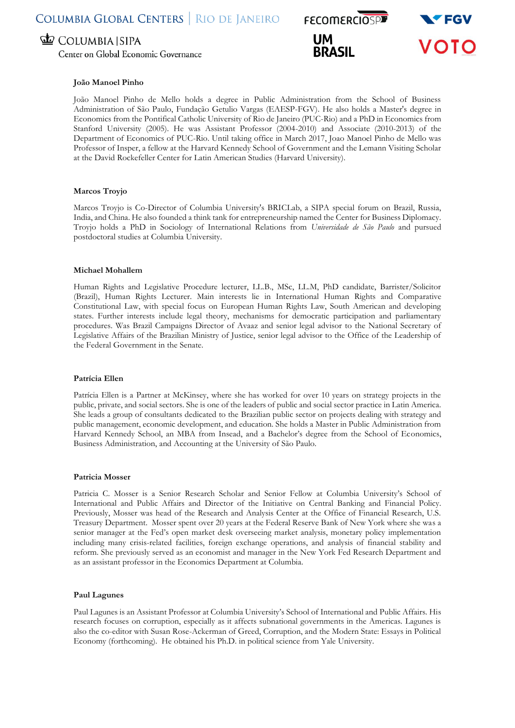# COLUMBIA SIPA

Center on Global Economic Governance

# **FECOMERCIOSPE UM BRASIL**



#### **João Manoel Pinho**

João Manoel Pinho de Mello holds a degree in Public Administration from the School of Business Administration of São Paulo, Fundação Getulio Vargas (EAESP-FGV). He also holds a Master's degree in Economics from the Pontifical Catholic University of Rio de Janeiro (PUC-Rio) and a PhD in Economics from Stanford University (2005). He was Assistant Professor (2004-2010) and Associate (2010-2013) of the Department of Economics of PUC-Rio. Until taking office in March 2017, Joao Manoel Pinho de Mello was Professor of Insper, a fellow at the Harvard Kennedy School of Government and the Lemann Visiting Scholar at the David Rockefeller Center for Latin American Studies (Harvard University).

#### **Marcos Troyjo**

Marcos Troyjo is Co-Director of Columbia University's BRICLab, a SIPA special forum on Brazil, Russia, India, and China. He also founded a think tank for entrepreneurship named the Center for Business Diplomacy. Troyjo holds a PhD in Sociology of International Relations from *Universidade de São Paulo* and pursued postdoctoral studies at Columbia University.

#### **Michael Mohallem**

Human Rights and Legislative Procedure lecturer, LL.B., MSc, LL.M, PhD candidate, Barrister/Solicitor (Brazil), Human Rights Lecturer. Main interests lie in International Human Rights and Comparative Constitutional Law, with special focus on European Human Rights Law, South American and developing states. Further interests include legal theory, mechanisms for democratic participation and parliamentary procedures. Was Brazil Campaigns Director of Avaaz and senior legal advisor to the National Secretary of Legislative Affairs of the Brazilian Ministry of Justice, senior legal advisor to the Office of the Leadership of the Federal Government in the Senate.

#### **Patrícia Ellen**

Patrícia Ellen is a Partner at McKinsey, where she has worked for over 10 years on strategy projects in the public, private, and social sectors. She is one of the leaders of public and social sector practice in Latin America. She leads a group of consultants dedicated to the Brazilian public sector on projects dealing with strategy and public management, economic development, and education. She holds a Master in Public Administration from Harvard Kennedy School, an MBA from Insead, and a Bachelor's degree from the School of Economics, Business Administration, and Accounting at the University of São Paulo.

#### **Patricia Mosser**

Patricia C. Mosser is a Senior Research Scholar and Senior Fellow at Columbia University's School of International and Public Affairs and Director of the Initiative on Central Banking and Financial Policy. Previously, Mosser was head of the Research and Analysis Center at the Office of Financial Research, U.S. Treasury Department. Mosser spent over 20 years at the Federal Reserve Bank of New York where she was a senior manager at the Fed's open market desk overseeing market analysis, monetary policy implementation including many crisis-related facilities, foreign exchange operations, and analysis of financial stability and reform. She previously served as an economist and manager in the New York Fed Research Department and as an assistant professor in the Economics Department at Columbia.

#### **Paul Lagunes**

Paul Lagunes is an Assistant Professor at Columbia University's School of International and Public Affairs. His research focuses on corruption, especially as it affects subnational governments in the Americas. Lagunes is also the co-editor with Susan Rose-Ackerman of Greed, Corruption, and the Modern State: Essays in Political Economy (forthcoming). He obtained his Ph.D. in political science from Yale University.